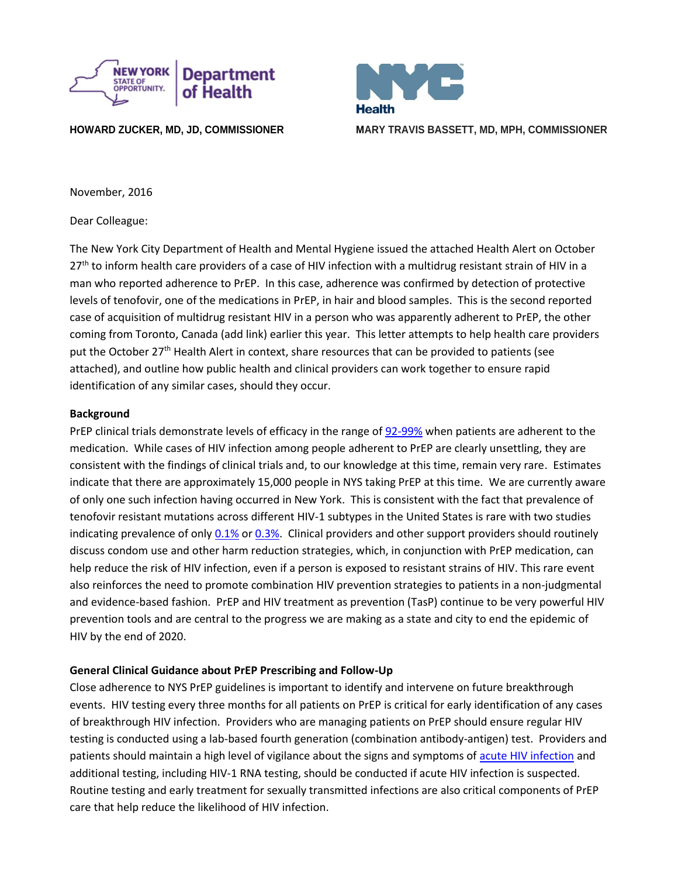

**Health HOWARD ZUCKER, MD, JD, COMMISSIONER MARY TRAVIS BASSETT, MD, MPH, COMMISSIONER**

November, 2016

Dear Colleague:

The New York City Department of Health and Mental Hygiene issued the attached Health Alert on October 27<sup>th</sup> to inform health care providers of a case of HIV infection with a multidrug resistant strain of HIV in a man who reported adherence to PrEP. In this case, adherence was confirmed by detection of protective levels of tenofovir, one of the medications in PrEP, in hair and blood samples. This is the second reported case of acquisition of multidrug resistant HIV in a person who was apparently adherent to PrEP, the other coming from Toronto, Canada (add link) earlier this year. This letter attempts to help health care providers put the October 27<sup>th</sup> Health Alert in context, share resources that can be provided to patients (see attached), and outline how public health and clinical providers can work together to ensure rapid identification of any similar cases, should they occur.

# **Background**

PrEP clinical trials demonstrate levels of efficacy in the range of [92-99%](https://www.ncbi.nlm.nih.gov/pubmed/22972843) when patients are adherent to the medication. While cases of HIV infection among people adherent to PrEP are clearly unsettling, they are consistent with the findings of clinical trials and, to our knowledge at this time, remain very rare. Estimates indicate that there are approximately 15,000 people in NYS taking PrEP at this time. We are currently aware of only one such infection having occurred in New York. This is consistent with the fact that prevalence of tenofovir resistant mutations across different HIV-1 subtypes in the United States is rare with two studies indicating prevalence of only [0.1%](https://www.ncbi.nlm.nih.gov/pubmed/23305651) o[r 0.3%.](http://journals.plos.org/plosone/article?id=10.1371/journal.pone.0000638) Clinical providers and other support providers should routinely discuss condom use and other harm reduction strategies, which, in conjunction with PrEP medication, can help reduce the risk of HIV infection, even if a person is exposed to resistant strains of HIV. This rare event also reinforces the need to promote combination HIV prevention strategies to patients in a non-judgmental and evidence-based fashion. PrEP and HIV treatment as prevention (TasP) continue to be very powerful HIV prevention tools and are central to the progress we are making as a state and city to end the epidemic of HIV by the end of 2020.

# **General Clinical Guidance about PrEP Prescribing and Follow-Up**

Close adherence to NYS PrEP guidelines is important to identify and intervene on future breakthrough events. HIV testing every three months for all patients on PrEP is critical for early identification of any cases of breakthrough HIV infection. Providers who are managing patients on PrEP should ensure regular HIV testing is conducted using a lab-based fourth generation (combination antibody-antigen) test. Providers and patients should maintain a high level of vigilance about the signs and symptoms of [acute HIV infection](http://www.hivguidelines.org/clinical-guidelines/adults/diagnosis-and-management-of-acute-hiv-infection/) and additional testing, including HIV-1 RNA testing, should be conducted if acute HIV infection is suspected. Routine testing and early treatment for sexually transmitted infections are also critical components of PrEP care that help reduce the likelihood of HIV infection.